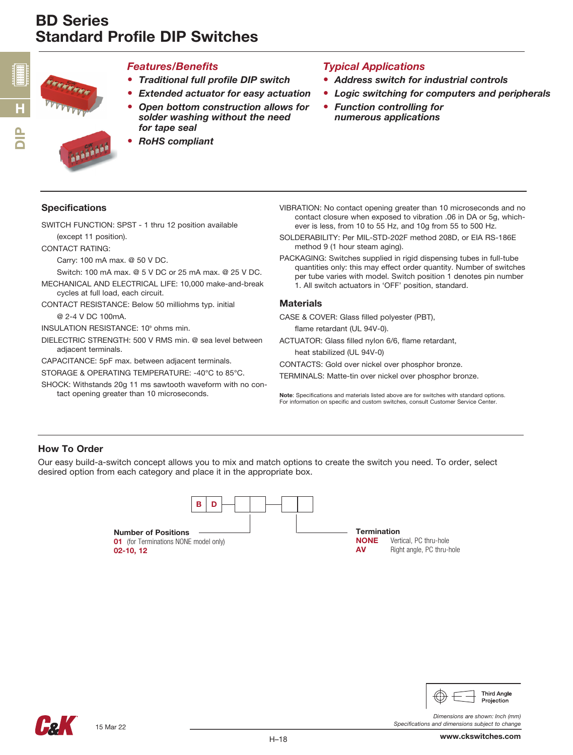

n<br>D

#### *Features/Benefits*

- *Traditional full profile DIP switch*
- *Extended actuator for easy actuation*
- *Open bottom construction allows for solder washing without the need for tape seal*



• *RoHS compliant*

# *Typical Applications*

- *Address switch for industrial controls*
- *Logic switching for computers and peripherals*
- *Function controlling for numerous applications*

## Specifications

SWITCH FUNCTION: SPST - 1 thru 12 position available (except 11 position).

CONTACT RATING:

Carry: 100 mA max. @ 50 V DC.

Switch: 100 mA max. @ 5 V DC or 25 mA max. @ 25 V DC.

- MECHANICAL AND ELECTRICAL LIFE: 10,000 make-and-break cycles at full load, each circuit.
- CONTACT RESISTANCE: Below 50 milliohms typ. initial @ 2-4 V DC 100mA.

INSULATION RESISTANCE: 10<sup>°</sup> ohms min.

DIELECTRIC STRENGTH: 500 V RMS min. @ sea level between adjacent terminals.

CAPACITANCE: 5pF max. between adjacent terminals.

STORAGE & OPERATING TEMPERATURE: -40°C to 85°C.

SHOCK: Withstands 20g 11 ms sawtooth waveform with no contact opening greater than 10 microseconds.

- VIBRATION: No contact opening greater than 10 microseconds and no contact closure when exposed to vibration .06 in DA or 5g, whichever is less, from 10 to 55 Hz, and 10g from 55 to 500 Hz.
- SOLDERABILITY: Per MIL-STD-202F method 208D, or EIA RS-186E method 9 (1 hour steam aging).
- PACKAGING: Switches supplied in rigid dispensing tubes in full-tube quantities only: this may effect order quantity. Number of switches per tube varies with model. Switch position 1 denotes pin number 1. All switch actuators in 'OFF' position, standard.

#### **Materials**

CASE & COVER: Glass filled polyester (PBT),

flame retardant (UL 94V-0).

ACTUATOR: Glass filled nylon 6/6, flame retardant, heat stabilized (UL 94V-0)

CONTACTS: Gold over nickel over phosphor bronze.

TERMINALS: Matte-tin over nickel over phosphor bronze.

Note: Specifications and materials listed above are for switches with standard options. For information on specific and custom switches, consult Customer Service Center.

## How To Order

Our easy build-a-switch concept allows you to mix and match options to create the switch you need. To order, select desired option from each category and place it in the appropriate box.





*Specifications and dimensions subject to change*

*Dimensions are shown: Inch (mm)*